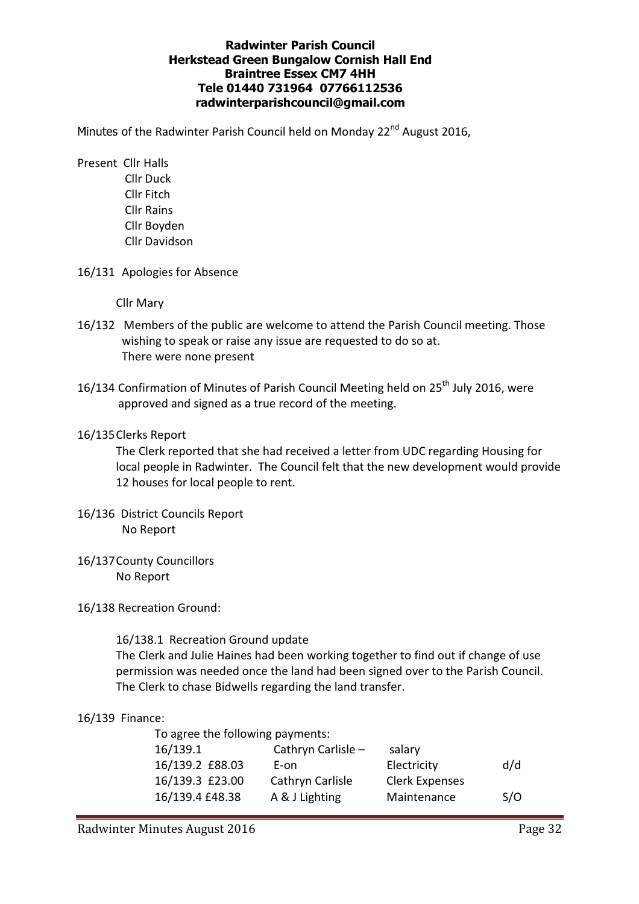#### Radwinter Parish Council Herkstead Green Bungalow Cornish Hall End Braintree Essex CM7 4HH Tele 01440 731964 07766112536 radwinterparishcouncil@gmail.com

Minutes of the Radwinter Parish Council held on Monday 22<sup>nd</sup> August 2016,

- Present Cllr Halls Cllr Duck Cllr Fitch Cllr Rains Cllr Boyden Cllr Davidson
- 16/131 Apologies for Absence

Cllr Mary

- 16/132 Members of the public are welcome to attend the Parish Council meeting. Those wishing to speak or raise any issue are requested to do so at. There were none present
- 16/134 Confirmation of Minutes of Parish Council Meeting held on 25<sup>th</sup> July 2016, were approved and signed as a true record of the meeting.

### 16/135 Clerks Report

The Clerk reported that she had received a letter from UDC regarding Housing for local people in Radwinter. The Council felt that the new development would provide 12 houses for local people to rent.

- 16/136 District Councils Report No Report
- 16/137 County Councillors No Report
- 16/138 Recreation Ground:

16/138.1 Recreation Ground update

The Clerk and Julie Haines had been working together to find out if change of use permission was needed once the land had been signed over to the Parish Council. The Clerk to chase Bidwells regarding the land transfer.

# 16/139 Finance:

 To agree the following payments: 16/139.1 Cathryn Carlisle – salary 16/139.2 £88.03 E-on Electricity d/d 16/139.3 £23.00 Cathryn Carlisle Clerk Expenses 16/139.4 £48.38 A & J Lighting Maintenance S/O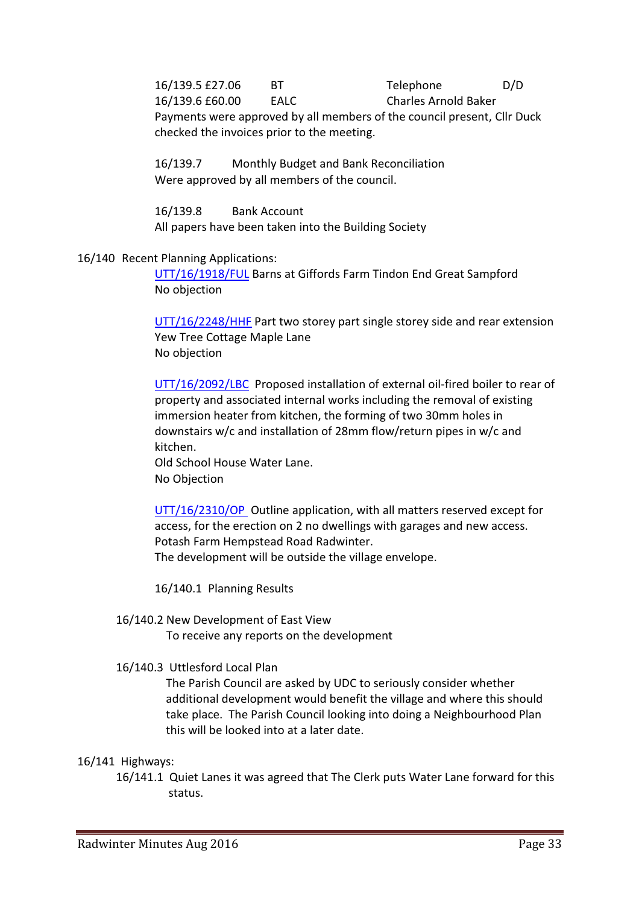16/139.5 £27.06 BT Telephone D/D 16/139.6 £60.00 EALC Charles Arnold Baker Payments were approved by all members of the council present, Cllr Duck checked the invoices prior to the meeting.

 16/139.7 Monthly Budget and Bank Reconciliation Were approved by all members of the council.

 16/139.8 Bank Account All papers have been taken into the Building Society

### 16/140 Recent Planning Applications:

UTT/16/1918/FUL Barns at Giffords Farm Tindon End Great Sampford No objection

UTT/16/2248/HHF Part two storey part single storey side and rear extension Yew Tree Cottage Maple Lane No objection

UTT/16/2092/LBC Proposed installation of external oil-fired boiler to rear of property and associated internal works including the removal of existing immersion heater from kitchen, the forming of two 30mm holes in downstairs w/c and installation of 28mm flow/return pipes in w/c and kitchen.

Old School House Water Lane. No Objection

UTT/16/2310/OP Outline application, with all matters reserved except for access, for the erection on 2 no dwellings with garages and new access. Potash Farm Hempstead Road Radwinter. The development will be outside the village envelope.

16/140.1 Planning Results

# 16/140.2 New Development of East View

To receive any reports on the development

# 16/140.3 Uttlesford Local Plan

The Parish Council are asked by UDC to seriously consider whether additional development would benefit the village and where this should take place. The Parish Council looking into doing a Neighbourhood Plan this will be looked into at a later date.

#### 16/141 Highways:

16/141.1 Quiet Lanes it was agreed that The Clerk puts Water Lane forward for this status.